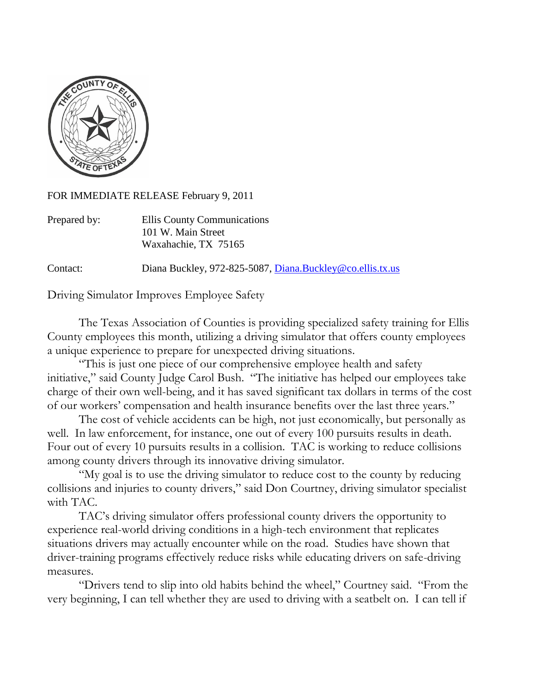

FOR IMMEDIATE RELEASE February 9, 2011

| Prepared by: | Ellis County Communications |
|--------------|-----------------------------|
|              | 101 W. Main Street          |
|              | Waxahachie, TX 75165        |

Contact: Diana Buckley, 972-825-5087, [Diana.Buckley@co.ellis.tx.us](mailto:Diana.Buckley@co.ellis.tx.us)

Driving Simulator Improves Employee Safety

The Texas Association of Counties is providing specialized safety training for Ellis County employees this month, utilizing a driving simulator that offers county employees a unique experience to prepare for unexpected driving situations.

"This is just one piece of our comprehensive employee health and safety initiative," said County Judge Carol Bush. "The initiative has helped our employees take charge of their own well-being, and it has saved significant tax dollars in terms of the cost of our workers' compensation and health insurance benefits over the last three years."

The cost of vehicle accidents can be high, not just economically, but personally as well. In law enforcement, for instance, one out of every 100 pursuits results in death. Four out of every 10 pursuits results in a collision. TAC is working to reduce collisions among county drivers through its innovative driving simulator.

"My goal is to use the driving simulator to reduce cost to the county by reducing collisions and injuries to county drivers," said Don Courtney, driving simulator specialist with TAC.

TAC's driving simulator offers professional county drivers the opportunity to experience real-world driving conditions in a high-tech environment that replicates situations drivers may actually encounter while on the road. Studies have shown that driver-training programs effectively reduce risks while educating drivers on safe-driving measures.

"Drivers tend to slip into old habits behind the wheel," Courtney said. "From the very beginning, I can tell whether they are used to driving with a seatbelt on. I can tell if